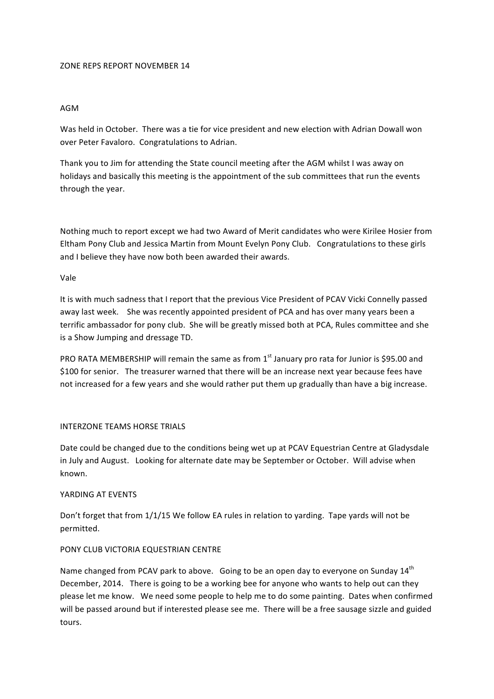#### ZONE REPS REPORT NOVEMBER 14

# AGM

Was held in October. There was a tie for vice president and new election with Adrian Dowall won over Peter Favaloro. Congratulations to Adrian.

Thank you to Jim for attending the State council meeting after the AGM whilst I was away on holidays and basically this meeting is the appointment of the sub committees that run the events through the year.

Nothing much to report except we had two Award of Merit candidates who were Kirilee Hosier from Eltham Pony Club and Jessica Martin from Mount Evelyn Pony Club. Congratulations to these girls and I believe they have now both been awarded their awards.

### Vale

It is with much sadness that I report that the previous Vice President of PCAV Vicki Connelly passed away last week. She was recently appointed president of PCA and has over many years been a terrific ambassador for pony club. She will be greatly missed both at PCA, Rules committee and she is a Show Jumping and dressage TD.

PRO RATA MEMBERSHIP will remain the same as from  $1<sup>st</sup>$  January pro rata for Junior is \$95.00 and \$100 for senior. The treasurer warned that there will be an increase next year because fees have not increased for a few years and she would rather put them up gradually than have a big increase.

### INTERZONE TEAMS HORSE TRIALS

Date could be changed due to the conditions being wet up at PCAV Equestrian Centre at Gladysdale in July and August. Looking for alternate date may be September or October. Will advise when known.

### YARDING AT EVENTS

Don't forget that from 1/1/15 We follow EA rules in relation to yarding. Tape yards will not be permitted.

### PONY CLUB VICTORIA EQUESTRIAN CENTRE

Name changed from PCAV park to above. Going to be an open day to everyone on Sunday  $14<sup>th</sup>$ December, 2014. There is going to be a working bee for anyone who wants to help out can they please let me know. We need some people to help me to do some painting. Dates when confirmed will be passed around but if interested please see me. There will be a free sausage sizzle and guided tours.